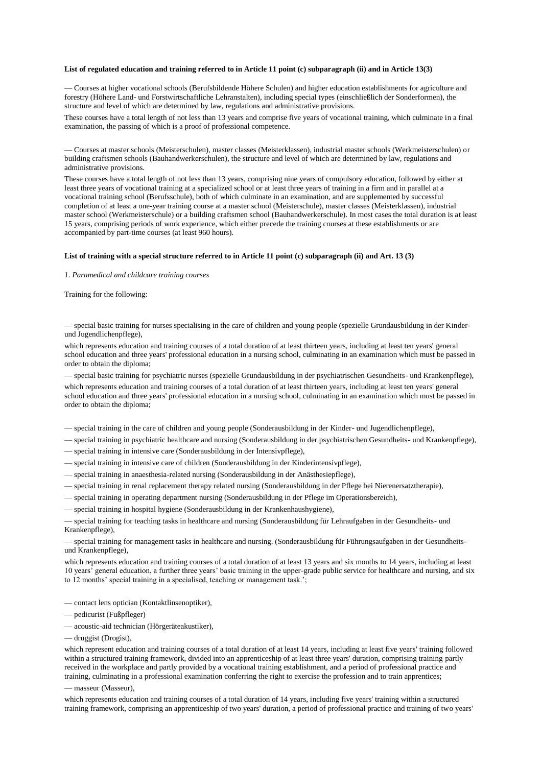## **List of regulated education and training referred to in Article 11 point (c) subparagraph (ii) and in Article 13(3)**

— Courses at higher vocational schools (Berufsbildende Höhere Schulen) and higher education establishments for agriculture and forestry (Höhere Land- und Forstwirtschaftliche Lehranstalten), including special types (einschließlich der Sonderformen), the structure and level of which are determined by law, regulations and administrative provisions.

These courses have a total length of not less than 13 years and comprise five years of vocational training, which culminate in a final examination, the passing of which is a proof of professional competence.

— Courses at master schools (Meisterschulen), master classes (Meisterklassen), industrial master schools (Werkmeisterschulen) or building craftsmen schools (Bauhandwerkerschulen), the structure and level of which are determined by law, regulations and administrative provisions.

These courses have a total length of not less than 13 years, comprising nine years of compulsory education, followed by either at least three years of vocational training at a specialized school or at least three years of training in a firm and in parallel at a vocational training school (Berufsschule), both of which culminate in an examination, and are supplemented by successful completion of at least a one-year training course at a master school (Meisterschule), master classes (Meisterklassen), industrial master school (Werkmeisterschule) or a building craftsmen school (Bauhandwerkerschule). In most cases the total duration is at least 15 years, comprising periods of work experience, which either precede the training courses at these establishments or are accompanied by part-time courses (at least 960 hours).

## **List of training with a special structure referred to in Article 11 point (c) subparagraph (ii) and Art. 13 (3)**

1. *Paramedical and childcare training courses*

Training for the following:

— special basic training for nurses specialising in the care of children and young people (spezielle Grundausbildung in der Kinderund Jugendlichenpflege),

which represents education and training courses of a total duration of at least thirteen years, including at least ten years' general school education and three years' professional education in a nursing school, culminating in an examination which must be passed in order to obtain the diploma;

— special basic training for psychiatric nurses (spezielle Grundausbildung in der psychiatrischen Gesundheits- und Krankenpflege),

which represents education and training courses of a total duration of at least thirteen years, including at least ten years' general school education and three years' professional education in a nursing school, culminating in an examination which must be passed in order to obtain the diploma;

— special training in the care of children and young people (Sonderausbildung in der Kinder- und Jugendlichenpflege),

- special training in psychiatric healthcare and nursing (Sonderausbildung in der psychiatrischen Gesundheits- und Krankenpflege),
- special training in intensive care (Sonderausbildung in der Intensivpflege),
- special training in intensive care of children (Sonderausbildung in der Kinderintensivpflege),
- special training in anaesthesia-related nursing (Sonderausbildung in der Anästhesiepflege),
- special training in renal replacement therapy related nursing (Sonderausbildung in der Pflege bei Nierenersatztherapie),
- special training in operating department nursing (Sonderausbildung in der Pflege im Operationsbereich),
- special training in hospital hygiene (Sonderausbildung in der Krankenhaushygiene),

— special training for teaching tasks in healthcare and nursing (Sonderausbildung für Lehraufgaben in der Gesundheits- und Krankenpflege),

— special training for management tasks in healthcare and nursing. (Sonderausbildung für Führungsaufgaben in der Gesundheitsund Krankenpflege),

which represents education and training courses of a total duration of at least 13 years and six months to 14 years, including at least 10 years' general education, a further three years' basic training in the upper-grade public service for healthcare and nursing, and six to 12 months' special training in a specialised, teaching or management task.';

- contact lens optician (Kontaktlinsenoptiker),
- pedicurist (Fußpfleger)
- acoustic-aid technician (Hörgeräteakustiker),
- druggist (Drogist),

which represent education and training courses of a total duration of at least 14 years, including at least five years' training followed within a structured training framework, divided into an apprenticeship of at least three years' duration, comprising training partly received in the workplace and partly provided by a vocational training establishment, and a period of professional practice and training, culminating in a professional examination conferring the right to exercise the profession and to train apprentices;

— masseur (Masseur),

which represents education and training courses of a total duration of 14 years, including five years' training within a structured training framework, comprising an apprenticeship of two years' duration, a period of professional practice and training of two years'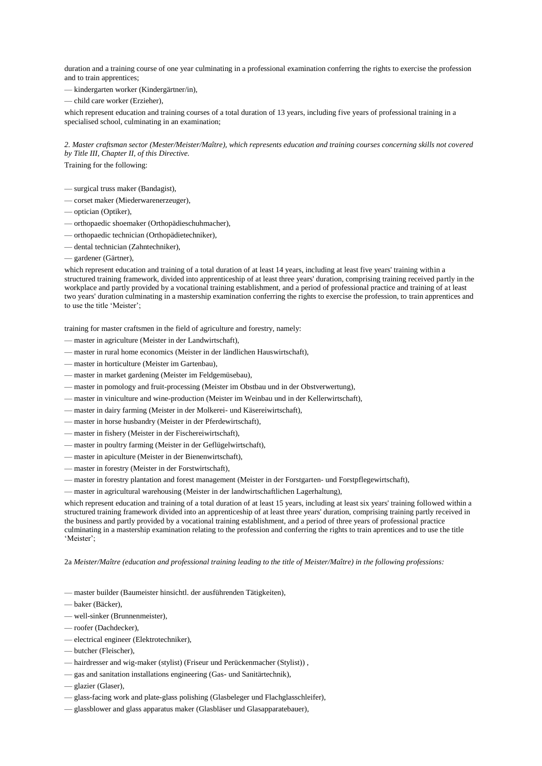duration and a training course of one year culminating in a professional examination conferring the rights to exercise the profession and to train apprentices;

— kindergarten worker (Kindergärtner/in),

— child care worker (Erzieher),

which represent education and training courses of a total duration of 13 years, including five years of professional training in a specialised school, culminating in an examination;

## *2. Master craftsman sector (Mester/Meister/Maître), which represents education and training courses concerning skills not covered by Title III, Chapter II, of this Directive.*

Training for the following:

- surgical truss maker (Bandagist),
- corset maker (Miederwarenerzeuger),
- optician (Optiker),
- orthopaedic shoemaker (Orthopädieschuhmacher),
- orthopaedic technician (Orthopädietechniker),
- dental technician (Zahntechniker),
- gardener (Gärtner),

which represent education and training of a total duration of at least 14 years, including at least five years' training within a structured training framework, divided into apprenticeship of at least three years' duration, comprising training received partly in the workplace and partly provided by a vocational training establishment, and a period of professional practice and training of at least two years' duration culminating in a mastership examination conferring the rights to exercise the profession, to train apprentices and to use the title 'Meister';

training for master craftsmen in the field of agriculture and forestry, namely:

- master in agriculture (Meister in der Landwirtschaft),
- master in rural home economics (Meister in der ländlichen Hauswirtschaft),
- master in horticulture (Meister im Gartenbau),
- master in market gardening (Meister im Feldgemüsebau),
- master in pomology and fruit-processing (Meister im Obstbau und in der Obstverwertung),
- master in viniculture and wine-production (Meister im Weinbau und in der Kellerwirtschaft),
- master in dairy farming (Meister in der Molkerei- und Käsereiwirtschaft),
- master in horse husbandry (Meister in der Pferdewirtschaft),
- master in fishery (Meister in der Fischereiwirtschaft),
- master in poultry farming (Meister in der Geflügelwirtschaft),
- master in apiculture (Meister in der Bienenwirtschaft),
- master in forestry (Meister in der Forstwirtschaft),
- master in forestry plantation and forest management (Meister in der Forstgarten- und Forstpflegewirtschaft),
- master in agricultural warehousing (Meister in der landwirtschaftlichen Lagerhaltung),

which represent education and training of a total duration of at least 15 years, including at least six years' training followed within a structured training framework divided into an apprenticeship of at least three years' duration, comprising training partly received in the business and partly provided by a vocational training establishment, and a period of three years of professional practice culminating in a mastership examination relating to the profession and conferring the rights to train aprentices and to use the title 'Meister';

2a *Meister/Maître (education and professional training leading to the title of Meister/Maître) in the following professions:*

- master builder (Baumeister hinsichtl. der ausführenden Tätigkeiten),
- baker (Bäcker),
- well-sinker (Brunnenmeister),
- roofer (Dachdecker),
- electrical engineer (Elektrotechniker),
- butcher (Fleischer),
- hairdresser and wig-maker (stylist) (Friseur und Perückenmacher (Stylist)) ,
- gas and sanitation installations engineering (Gas- und Sanitärtechnik),
- glazier (Glaser),
- glass-facing work and plate-glass polishing (Glasbeleger und Flachglasschleifer),
- glassblower and glass apparatus maker (Glasbläser und Glasapparatebauer),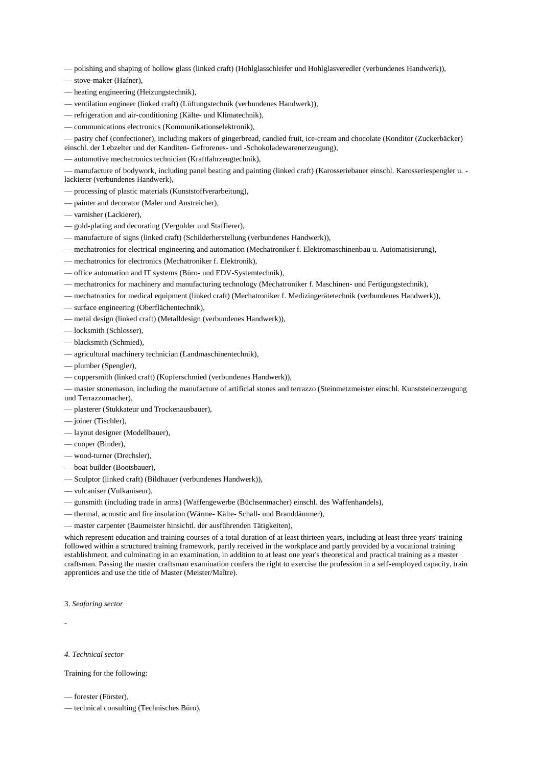— polishing and shaping of hollow glass (linked craft) (Hohlglasschleifer und Hohlglasveredler (verbundenes Handwerk)),

- stove-maker (Hafner),
- heating engineering (Heizungstechnik),
- ventilation engineer (linked craft) (Lüftungstechnik (verbundenes Handwerk)),
- refrigeration and air-conditioning (Kälte- und Klimatechnik),
- communications electronics (Kommunikationselektronik),

— pastry chef (confectioner), including makers of gingerbread, candied fruit, ice-cream and chocolate (Konditor (Zuckerbäcker) einschl. der Lebzelter und der Kanditen- Gefrorenes- und -Schokoladewarenerzeugung),

— automotive mechatronics technician (Kraftfahrzeugtechnik),

— manufacture of bodywork, including panel beating and painting (linked craft) (Karosseriebauer einschl. Karosseriespengler u. lackierer (verbundenes Handwerk),

- processing of plastic materials (Kunststoffverarbeitung),
- painter and decorator (Maler und Anstreicher),
- varnisher (Lackierer),
- gold-plating and decorating (Vergolder und Staffierer),
- manufacture of signs (linked craft) (Schilderherstellung (verbundenes Handwerk)),
- mechatronics for electrical engineering and automation (Mechatroniker f. Elektromaschinenbau u. Automatisierung),
- mechatronics for electronics (Mechatroniker f. Elektronik),
- office automation and IT systems (Büro- und EDV-Systemtechnik),
- mechatronics for machinery and manufacturing technology (Mechatroniker f. Maschinen- und Fertigungstechnik),
- mechatronics for medical equipment (linked craft) (Mechatroniker f. Medizingerätetechnik (verbundenes Handwerk)),
- surface engineering (Oberflächentechnik),
- metal design (linked craft) (Metalldesign (verbundenes Handwerk)),
- locksmith (Schlosser),
- blacksmith (Schmied),
- agricultural machinery technician (Landmaschinentechnik),
- plumber (Spengler),
- coppersmith (linked craft) (Kupferschmied (verbundenes Handwerk)),
- master stonemason, including the manufacture of artificial stones and terrazzo (Steinmetzmeister einschl. Kunststeinerzeugung
- und Terrazzomacher),
- plasterer (Stukkateur und Trockenausbauer),
- joiner (Tischler),
- layout designer (Modellbauer),
- cooper (Binder),
- wood-turner (Drechsler),
- boat builder (Bootsbauer),
- Sculptor (linked craft) (Bildhauer (verbundenes Handwerk)),
- vulcaniser (Vulkaniseur),
- gunsmith (including trade in arms) (Waffengewerbe (Büchsenmacher) einschl. des Waffenhandels),
- thermal, acoustic and fire insulation (Wärme- Kälte- Schall- und Branddämmer),
- master carpenter (Baumeister hinsichtl. der ausführenden Tätigkeiten),

which represent education and training courses of a total duration of at least thirteen years, including at least three years' training followed within a structured training framework, partly received in the workplace and partly provided by a vocational training establishment, and culminating in an examination, in addition to at least one year's theoretical and practical training as a master craftsman. Passing the master craftsman examination confers the right to exercise the profession in a self-employed capacity, train apprentices and use the title of Master (Meister/Maître).

3. *Seafaring sector* 

*-*

*4. Technical sector* 

Training for the following:

- forester (Förster),
- technical consulting (Technisches Büro),